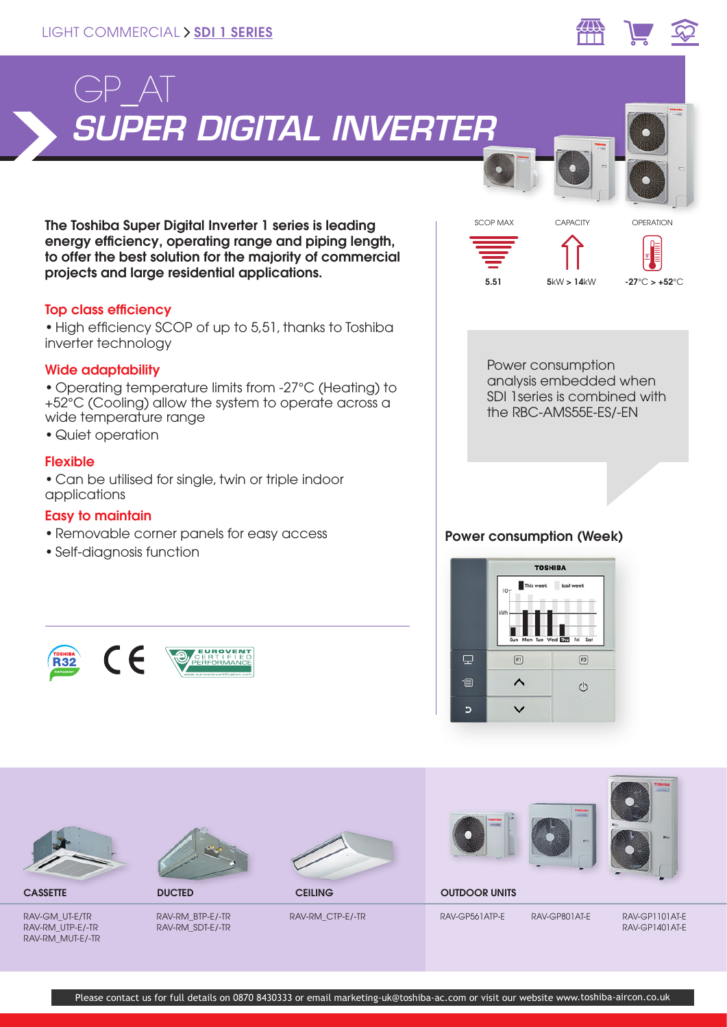



The Toshiba Super Digital Inverter 1 series is leading energy efficiency, operating range and piping length, to offer the best solution for the majority of commercial projects and large residential applications.

# Top class efficiency

•High efficiency SCOP of up to 5,51, thanks to Toshiba inverter technology

# Wide adaptability

• Operating temperature limits from -27°C (Heating) to +52°C (Cooling) allow the system to operate across a wide temperature range

• Quiet operation

# Flexible

• Can be utilised for single, twin or triple indoor applications

# Easy to maintain

- Removable corner panels for easy access
- Self-diagnosis function





Power consumption analysis embedded when SDI 1series is combined with the RBC-AMS55E-ES/-EN

# Power consumption (Week)





RAV-GM\_UT-E/TR RAV-RM\_UTP-E/-TR RAV-RM\_MUT-E/-TR



RAV-RM\_BTP-E/-TR RAV-RM\_SDT-E/-TR



**CASSETTE** DUCTED DUCTED CEILING

RAV-RM\_CTP-E/-TR

OUTDOOR UNITS

RAV-GP561ATP-E RAV-GP801AT-E RAV-GP1101AT-E

RAV-GP1401AT-E